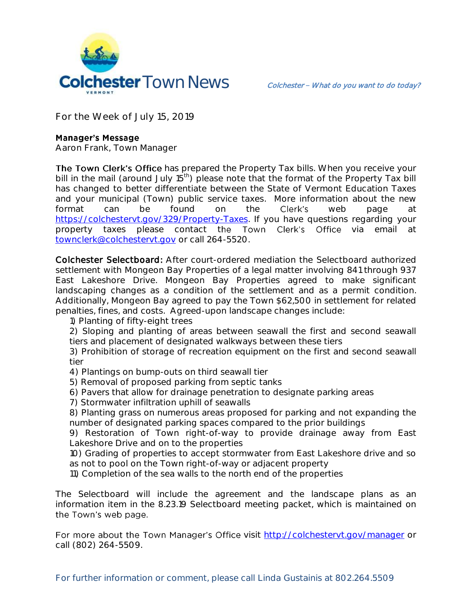

**For the Week of July 15, 2019**

## **Manager's Message**

**Aaron Frank, Town Manager**

The Town Clerk's Office has prepared the Property Tax bills. When you receive your bill in the mail (around July 15<sup>th</sup>) please note that the format of the Property Tax bill has changed to better differentiate between the State of Vermont Education Taxes and your municipal (Town) public service taxes. More information about the new format can be found on the Clerk's web page at [https://colchestervt.gov/329/Property-Taxes.](https://colchestervt.gov/329/Property-Taxes) If you have questions regarding your property taxes please contact the Town Clerk's Office via email at [townclerk@colchestervt.gov](mailto:townclerk@colchestervt.gov) or call 264-5520.

Colchester Selectboard: After court-ordered mediation the Selectboard authorized settlement with Mongeon Bay Properties of a legal matter involving 841 through 937 East Lakeshore Drive. Mongeon Bay Properties agreed to make significant landscaping changes as a condition of the settlement and as a permit condition. Additionally, Mongeon Bay agreed to pay the Town \$62,500 in settlement for related penalties, fines, and costs. Agreed-upon landscape changes include:

- 1) Planting of fifty-eight trees
- 2) Sloping and planting of areas between seawall the first and second seawall tiers and placement of designated walkways between these tiers

3) Prohibition of storage of recreation equipment on the first and second seawall tier

- 4) Plantings on bump-outs on third seawall tier
- 5) Removal of proposed parking from septic tanks
- 6) Pavers that allow for drainage penetration to designate parking areas
- 7) Stormwater infiltration uphill of seawalls
- 8) Planting grass on numerous areas proposed for parking and not expanding the number of designated parking spaces compared to the prior buildings

9) Restoration of Town right-of-way to provide drainage away from East Lakeshore Drive and on to the properties

- 10) Grading of properties to accept stormwater from East Lakeshore drive and so as not to pool on the Town right-of-way or adjacent property
- 11) Completion of the sea walls to the north end of the properties

The Selectboard will include the agreement and the landscape plans as an information item in the 8.23.19 Selectboard meeting packet, which is maintained on the Town's web page.

For more about the Town Manager's Office visit<http://colchestervt.gov/manager> or call (802) 264-5509.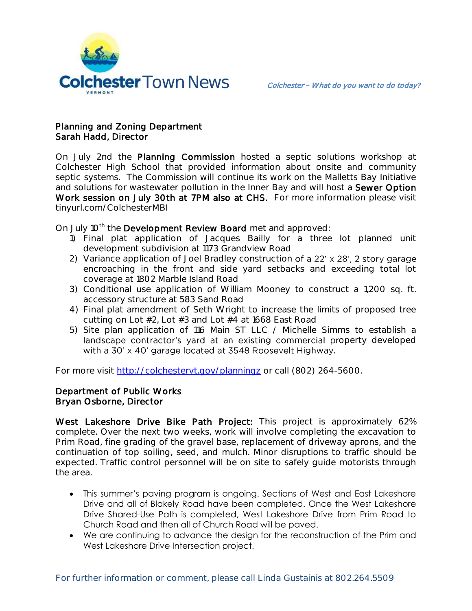

## Planning and Zoning Department Sarah Hadd, Director

On July 2nd the Planning Commission hosted a septic solutions workshop at Colchester High School that provided information about onsite and community septic systems. The Commission will continue its work on the Malletts Bay Initiative and solutions for wastewater pollution in the Inner Bay and will host a Sewer Option Work session on July 30th at 7PM also at CHS. For more information please visit tinyurl.com/ColchesterMBI

On July 10<sup>th</sup> the Development Review Board met and approved:

- 1) Final plat application of Jacques Bailly for a three lot planned unit development subdivision at 1173 Grandview Road
- 2) Variance application of Joel Bradley construction of a 22' x 28', 2 story garage encroaching in the front and side yard setbacks and exceeding total lot coverage at 1802 Marble Island Road
- 3) Conditional use application of William Mooney to construct a 1,200 sq. ft. accessory structure at 583 Sand Road
- 4) Final plat amendment of Seth Wright to increase the limits of proposed tree cutting on Lot  $#2$ , Lot  $#3$  and Lot  $#4$  at 1668 East Road
- 5) Site plan application of 116 Main ST LLC / Michelle Simms to establish a landscape contractor's yard at an existing commercial property developed with a 30' x 40' garage located at 3548 Roosevelt Highway.

For more visit<http://colchestervt.gov/planningz> or call (802) 264-5600.

## Department of Public Works Bryan Osborne, Director

West Lakeshore Drive Bike Path Project: This project is approximately 62% complete. Over the next two weeks, work will involve completing the excavation to Prim Road, fine grading of the gravel base, replacement of driveway aprons, and the continuation of top soiling, seed, and mulch. Minor disruptions to traffic should be expected. Traffic control personnel will be on site to safely guide motorists through the area.

- This summer's paving program is ongoing. Sections of West and East Lakeshore Drive and all of Blakely Road have been completed. Once the West Lakeshore Drive Shared-Use Path is completed, West Lakeshore Drive from Prim Road to Church Road and then all of Church Road will be paved.
- We are continuing to advance the design for the reconstruction of the Prim and West Lakeshore Drive Intersection project.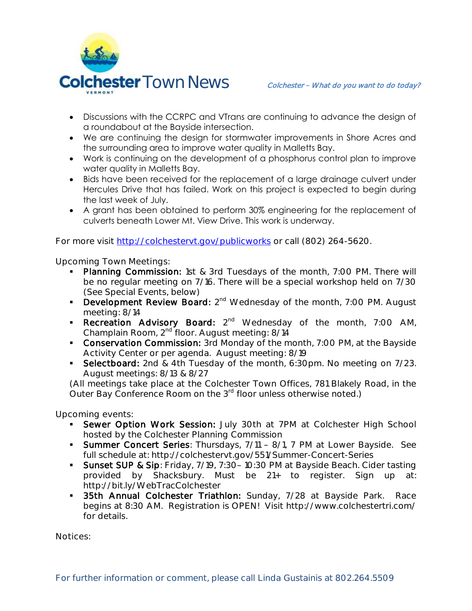

- Discussions with the CCRPC and VTrans are continuing to advance the design of a roundabout at the Bayside intersection.
- We are continuing the design for stormwater improvements in Shore Acres and the surrounding area to improve water quality in Malletts Bay.
- Work is continuing on the development of a phosphorus control plan to improve water quality in Malletts Bay.
- Bids have been received for the replacement of a large drainage culvert under Hercules Drive that has failed. Work on this project is expected to begin during the last week of July.
- A grant has been obtained to perform 30% engineering for the replacement of culverts beneath Lower Mt. View Drive. This work is underway.

For more visit<http://colchestervt.gov/publicworks> or call (802) 264-5620.

**Upcoming Town Meetings:** 

- Planning Commission: 1st & 3rd Tuesdays of the month, 7:00 PM. There will be no regular meeting on 7/16. There will be a special workshop held on 7/30 (See Special Events, below)
- **Development Review Board:**  $2^{nd}$  Wednesday of the month, 7:00 PM. August meeting: 8/14
- Recreation Advisory Board: 2<sup>nd</sup> Wednesday of the month, 7:00 AM, Champlain Room, 2nd floor. August meeting: 8/14
- **Conservation Commission:** 3rd Monday of the month, 7:00 PM, at the Bayside Activity Center or per agenda. August meeting: 8/19
- Selectboard: 2nd & 4th Tuesday of the month, 6:30pm. No meeting on 7/23. August meetings: 8/13 & 8/27

(All meetings take place at the Colchester Town Offices, 781 Blakely Road, in the Outer Bay Conference Room on the 3<sup>rd</sup> floor unless otherwise noted.)

**Upcoming events:** 

- **Sewer Option Work Session:** July 30th at 7PM at Colchester High School hosted by the Colchester Planning Commission
- Summer Concert Series: Thursdays, 7/11 8/1, 7 PM at Lower Bayside. See full schedule at: http://colchestervt.gov/551/Summer-Concert-Series
- Sunset SUP & Sip: Friday, 7/19, 7:30-10:30 PM at Bayside Beach. Cider tasting provided by Shacksbury. Must be 21+ to register. Sign up at: http://bit.ly/WebTracColchester
- **55th Annual Colchester Triathlon:** Sunday, 7/28 at Bayside Park. Race begins at 8:30 AM. Registration is OPEN! Visit http://www.colchestertri.com/ for details.

**Notices:**